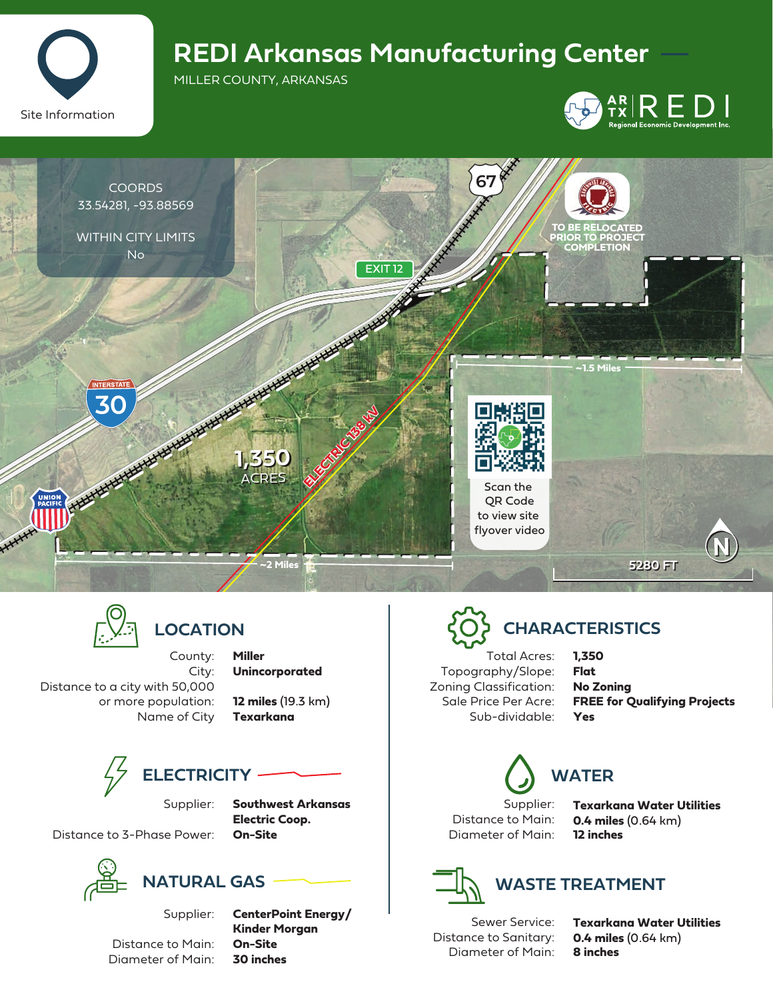

## **REDI Arkansas Manufacturing Center**

MILLER COUNTY, ARKANSAS







### **LOCATION**

County:

City: Distance to a city with 50,000 or more population: Name of City **Miller Unincorporated**

**12 miles** (19.3 km) **Texarkana**



Supplier:

**Southwest Arkansas Electric Coop. On-Site**

Distance to 3-Phase Power:



Distance to Main: Diameter of Main:

Supplier:

**CenterPoint Energy/ Kinder Morgan On-Site 30 inches**

# **CHARACTERISTICS**

Total Acres: Topography/Slope: Zoning Classification: Sale Price Per Acre: Sub-dividable: **1,350 Flat No Zoning FREE for Qualifying Projects Yes**

Supplier:

Distance to Main: Diameter of Main:

**WATER**

**Texarkana Water Utilities 0.4 miles** (0.64 km) **12 inches**



**WASTE TREATMENT**

Sewer Service: Distance to Sanitary: Diameter of Main: